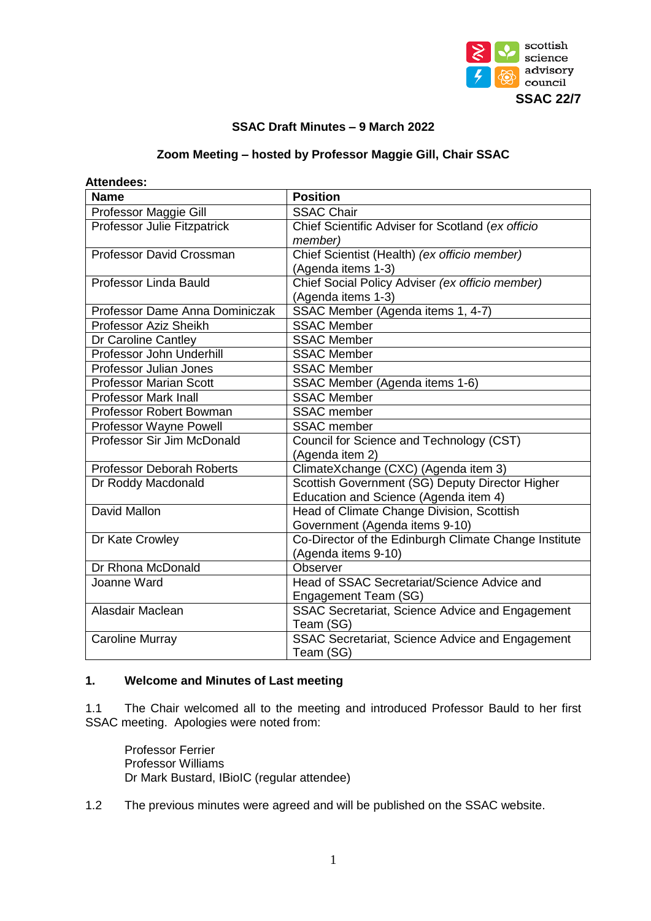

# **SSAC Draft Minutes – 9 March 2022**

#### **Zoom Meeting – hosted by Professor Maggie Gill, Chair SSAC**

| <b>Attenaees:</b>                  |                                                       |  |  |
|------------------------------------|-------------------------------------------------------|--|--|
| <b>Name</b>                        | <b>Position</b>                                       |  |  |
| Professor Maggie Gill              | <b>SSAC Chair</b>                                     |  |  |
| <b>Professor Julie Fitzpatrick</b> | Chief Scientific Adviser for Scotland (ex officio     |  |  |
|                                    | member)                                               |  |  |
| Professor David Crossman           | Chief Scientist (Health) (ex officio member)          |  |  |
|                                    | (Agenda items 1-3)                                    |  |  |
| Professor Linda Bauld              | Chief Social Policy Adviser (ex officio member)       |  |  |
|                                    | (Agenda items 1-3)                                    |  |  |
| Professor Dame Anna Dominiczak     | SSAC Member (Agenda items 1, 4-7)                     |  |  |
| Professor Aziz Sheikh              | <b>SSAC Member</b>                                    |  |  |
| Dr Caroline Cantley                | <b>SSAC Member</b>                                    |  |  |
| Professor John Underhill           | <b>SSAC Member</b>                                    |  |  |
| Professor Julian Jones             | <b>SSAC Member</b>                                    |  |  |
| <b>Professor Marian Scott</b>      | SSAC Member (Agenda items 1-6)                        |  |  |
| <b>Professor Mark Inall</b>        | <b>SSAC Member</b>                                    |  |  |
| Professor Robert Bowman            | <b>SSAC</b> member                                    |  |  |
| Professor Wayne Powell             | <b>SSAC</b> member                                    |  |  |
| Professor Sir Jim McDonald         | Council for Science and Technology (CST)              |  |  |
|                                    | (Agenda item 2)                                       |  |  |
| <b>Professor Deborah Roberts</b>   | ClimateXchange (CXC) (Agenda item 3)                  |  |  |
| Dr Roddy Macdonald                 | Scottish Government (SG) Deputy Director Higher       |  |  |
|                                    | Education and Science (Agenda item 4)                 |  |  |
| David Mallon                       | Head of Climate Change Division, Scottish             |  |  |
|                                    | Government (Agenda items 9-10)                        |  |  |
| Dr Kate Crowley                    | Co-Director of the Edinburgh Climate Change Institute |  |  |
|                                    | (Agenda items 9-10)                                   |  |  |
| Dr Rhona McDonald                  | Observer                                              |  |  |
| Joanne Ward                        | Head of SSAC Secretariat/Science Advice and           |  |  |
|                                    | Engagement Team (SG)                                  |  |  |
| Alasdair Maclean                   | SSAC Secretariat, Science Advice and Engagement       |  |  |
|                                    | Team (SG)                                             |  |  |
| <b>Caroline Murray</b>             | SSAC Secretariat, Science Advice and Engagement       |  |  |
|                                    | Team (SG)                                             |  |  |

# **Attendees:**

# **1. Welcome and Minutes of Last meeting**

1.1 The Chair welcomed all to the meeting and introduced Professor Bauld to her first SSAC meeting. Apologies were noted from:

Professor Ferrier Professor Williams Dr Mark Bustard, IBioIC (regular attendee)

1.2 The previous minutes were agreed and will be published on the SSAC website.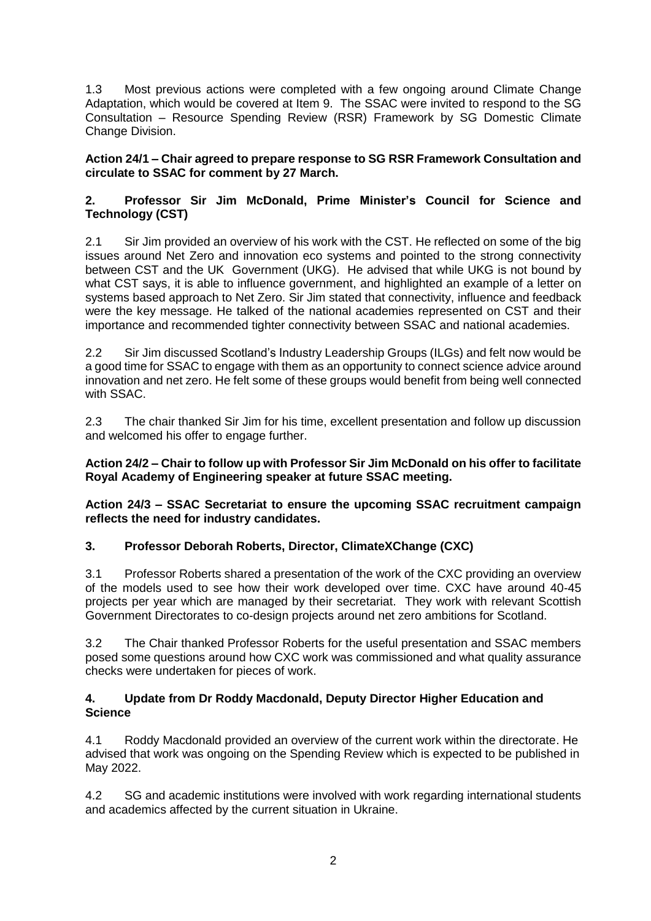1.3 Most previous actions were completed with a few ongoing around Climate Change Adaptation, which would be covered at Item 9. The SSAC were invited to respond to the SG Consultation – Resource Spending Review (RSR) Framework by SG Domestic Climate Change Division.

# **Action 24/1 – Chair agreed to prepare response to SG RSR Framework Consultation and circulate to SSAC for comment by 27 March.**

# **2. Professor Sir Jim McDonald, Prime Minister's Council for Science and Technology (CST)**

2.1 Sir Jim provided an overview of his work with the CST. He reflected on some of the big issues around Net Zero and innovation eco systems and pointed to the strong connectivity between CST and the UK Government (UKG). He advised that while UKG is not bound by what CST says, it is able to influence government, and highlighted an example of a letter on systems based approach to Net Zero. Sir Jim stated that connectivity, influence and feedback were the key message. He talked of the national academies represented on CST and their importance and recommended tighter connectivity between SSAC and national academies.

2.2 Sir Jim discussed Scotland's Industry Leadership Groups (ILGs) and felt now would be a good time for SSAC to engage with them as an opportunity to connect science advice around innovation and net zero. He felt some of these groups would benefit from being well connected with SSAC.

2.3 The chair thanked Sir Jim for his time, excellent presentation and follow up discussion and welcomed his offer to engage further.

# **Action 24/2 – Chair to follow up with Professor Sir Jim McDonald on his offer to facilitate Royal Academy of Engineering speaker at future SSAC meeting.**

**Action 24/3 – SSAC Secretariat to ensure the upcoming SSAC recruitment campaign reflects the need for industry candidates.**

# **3. Professor Deborah Roberts, Director, ClimateXChange (CXC)**

3.1 Professor Roberts shared a presentation of the work of the CXC providing an overview of the models used to see how their work developed over time. CXC have around 40-45 projects per year which are managed by their secretariat. They work with relevant Scottish Government Directorates to co-design projects around net zero ambitions for Scotland.

3.2 The Chair thanked Professor Roberts for the useful presentation and SSAC members posed some questions around how CXC work was commissioned and what quality assurance checks were undertaken for pieces of work.

# **4. Update from Dr Roddy Macdonald, Deputy Director Higher Education and Science**

4.1 Roddy Macdonald provided an overview of the current work within the directorate. He advised that work was ongoing on the Spending Review which is expected to be published in May 2022.

4.2 SG and academic institutions were involved with work regarding international students and academics affected by the current situation in Ukraine.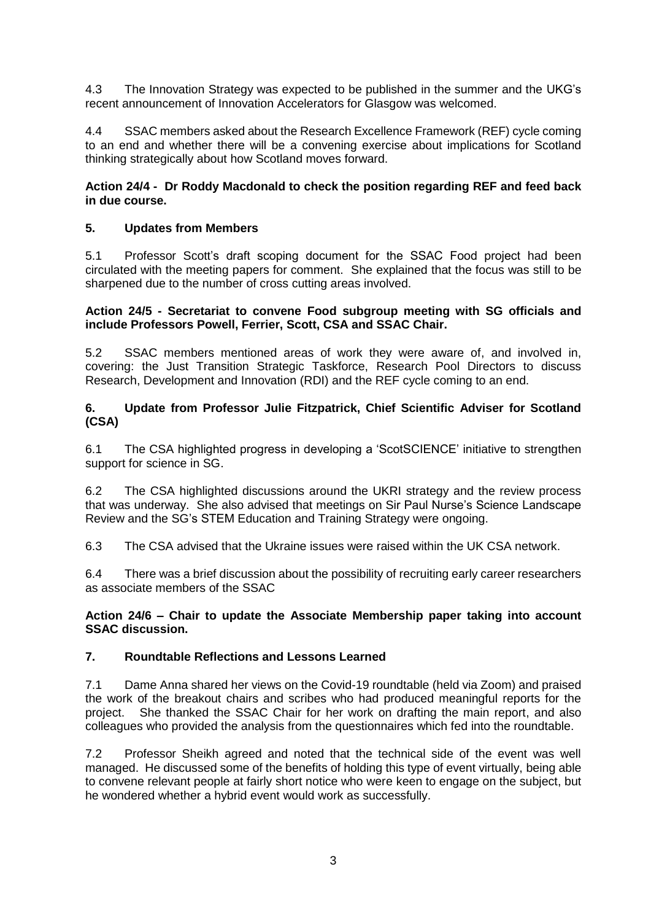4.3 The Innovation Strategy was expected to be published in the summer and the UKG's recent announcement of Innovation Accelerators for Glasgow was welcomed.

4.4 SSAC members asked about the Research Excellence Framework (REF) cycle coming to an end and whether there will be a convening exercise about implications for Scotland thinking strategically about how Scotland moves forward.

# **Action 24/4 - Dr Roddy Macdonald to check the position regarding REF and feed back in due course.**

# **5. Updates from Members**

5.1 Professor Scott's draft scoping document for the SSAC Food project had been circulated with the meeting papers for comment. She explained that the focus was still to be sharpened due to the number of cross cutting areas involved.

#### **Action 24/5 - Secretariat to convene Food subgroup meeting with SG officials and include Professors Powell, Ferrier, Scott, CSA and SSAC Chair.**

5.2 SSAC members mentioned areas of work they were aware of, and involved in, covering: the Just Transition Strategic Taskforce, Research Pool Directors to discuss Research, Development and Innovation (RDI) and the REF cycle coming to an end.

#### **6. Update from Professor Julie Fitzpatrick, Chief Scientific Adviser for Scotland (CSA)**

6.1 The CSA highlighted progress in developing a 'ScotSCIENCE' initiative to strengthen support for science in SG.

6.2 The CSA highlighted discussions around the UKRI strategy and the review process that was underway. She also advised that meetings on Sir Paul Nurse's Science Landscape Review and the SG's STEM Education and Training Strategy were ongoing.

6.3 The CSA advised that the Ukraine issues were raised within the UK CSA network.

6.4 There was a brief discussion about the possibility of recruiting early career researchers as associate members of the SSAC

**Action 24/6 – Chair to update the Associate Membership paper taking into account SSAC discussion.**

# **7. Roundtable Reflections and Lessons Learned**

7.1 Dame Anna shared her views on the Covid-19 roundtable (held via Zoom) and praised the work of the breakout chairs and scribes who had produced meaningful reports for the project. She thanked the SSAC Chair for her work on drafting the main report, and also colleagues who provided the analysis from the questionnaires which fed into the roundtable.

7.2 Professor Sheikh agreed and noted that the technical side of the event was well managed. He discussed some of the benefits of holding this type of event virtually, being able to convene relevant people at fairly short notice who were keen to engage on the subject, but he wondered whether a hybrid event would work as successfully.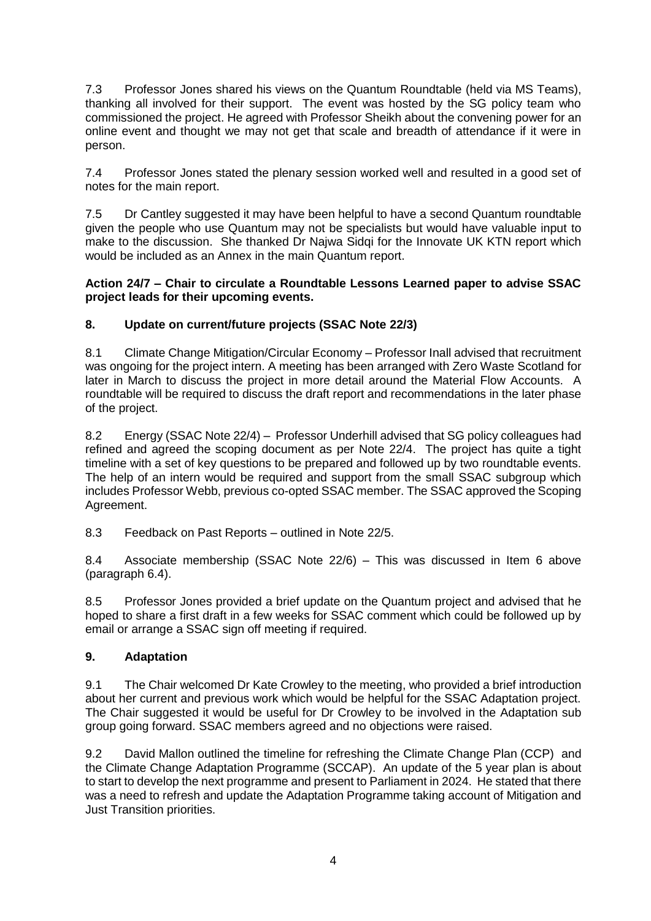7.3 Professor Jones shared his views on the Quantum Roundtable (held via MS Teams), thanking all involved for their support. The event was hosted by the SG policy team who commissioned the project. He agreed with Professor Sheikh about the convening power for an online event and thought we may not get that scale and breadth of attendance if it were in person.

7.4 Professor Jones stated the plenary session worked well and resulted in a good set of notes for the main report.

7.5 Dr Cantley suggested it may have been helpful to have a second Quantum roundtable given the people who use Quantum may not be specialists but would have valuable input to make to the discussion. She thanked Dr Najwa Sidqi for the Innovate UK KTN report which would be included as an Annex in the main Quantum report.

# **Action 24/7 – Chair to circulate a Roundtable Lessons Learned paper to advise SSAC project leads for their upcoming events.**

# **8. Update on current/future projects (SSAC Note 22/3)**

8.1 Climate Change Mitigation/Circular Economy – Professor Inall advised that recruitment was ongoing for the project intern. A meeting has been arranged with Zero Waste Scotland for later in March to discuss the project in more detail around the Material Flow Accounts. A roundtable will be required to discuss the draft report and recommendations in the later phase of the project.

8.2 Energy (SSAC Note 22/4) – Professor Underhill advised that SG policy colleagues had refined and agreed the scoping document as per Note 22/4. The project has quite a tight timeline with a set of key questions to be prepared and followed up by two roundtable events. The help of an intern would be required and support from the small SSAC subgroup which includes Professor Webb, previous co-opted SSAC member. The SSAC approved the Scoping Agreement.

8.3 Feedback on Past Reports – outlined in Note 22/5.

8.4 Associate membership (SSAC Note 22/6) – This was discussed in Item 6 above (paragraph 6.4).

8.5 Professor Jones provided a brief update on the Quantum project and advised that he hoped to share a first draft in a few weeks for SSAC comment which could be followed up by email or arrange a SSAC sign off meeting if required.

# **9. Adaptation**

9.1 The Chair welcomed Dr Kate Crowley to the meeting, who provided a brief introduction about her current and previous work which would be helpful for the SSAC Adaptation project. The Chair suggested it would be useful for Dr Crowley to be involved in the Adaptation sub group going forward. SSAC members agreed and no objections were raised.

9.2 David Mallon outlined the timeline for refreshing the Climate Change Plan (CCP) and the Climate Change Adaptation Programme (SCCAP). An update of the 5 year plan is about to start to develop the next programme and present to Parliament in 2024. He stated that there was a need to refresh and update the Adaptation Programme taking account of Mitigation and Just Transition priorities.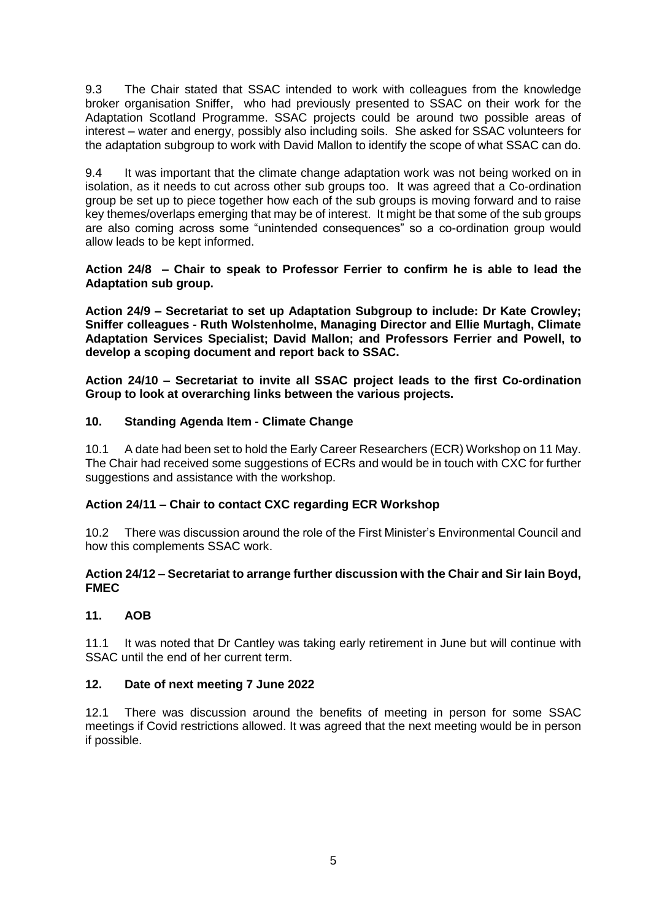9.3 The Chair stated that SSAC intended to work with colleagues from the knowledge broker organisation Sniffer, who had previously presented to SSAC on their work for the Adaptation Scotland Programme. SSAC projects could be around two possible areas of interest – water and energy, possibly also including soils. She asked for SSAC volunteers for the adaptation subgroup to work with David Mallon to identify the scope of what SSAC can do.

9.4 It was important that the climate change adaptation work was not being worked on in isolation, as it needs to cut across other sub groups too. It was agreed that a Co-ordination group be set up to piece together how each of the sub groups is moving forward and to raise key themes/overlaps emerging that may be of interest. It might be that some of the sub groups are also coming across some "unintended consequences" so a co-ordination group would allow leads to be kept informed.

**Action 24/8 – Chair to speak to Professor Ferrier to confirm he is able to lead the Adaptation sub group.**

**Action 24/9 – Secretariat to set up Adaptation Subgroup to include: Dr Kate Crowley; Sniffer colleagues - Ruth Wolstenholme, Managing Director and Ellie Murtagh, Climate Adaptation Services Specialist; David Mallon; and Professors Ferrier and Powell, to develop a scoping document and report back to SSAC.** 

**Action 24/10 – Secretariat to invite all SSAC project leads to the first Co-ordination Group to look at overarching links between the various projects.**

# **10. Standing Agenda Item - Climate Change**

10.1 A date had been set to hold the Early Career Researchers (ECR) Workshop on 11 May. The Chair had received some suggestions of ECRs and would be in touch with CXC for further suggestions and assistance with the workshop.

# **Action 24/11 – Chair to contact CXC regarding ECR Workshop**

10.2 There was discussion around the role of the First Minister's Environmental Council and how this complements SSAC work.

#### **Action 24/12 – Secretariat to arrange further discussion with the Chair and Sir Iain Boyd, FMEC**

# **11. AOB**

11.1 It was noted that Dr Cantley was taking early retirement in June but will continue with SSAC until the end of her current term.

# **12. Date of next meeting 7 June 2022**

12.1 There was discussion around the benefits of meeting in person for some SSAC meetings if Covid restrictions allowed. It was agreed that the next meeting would be in person if possible.